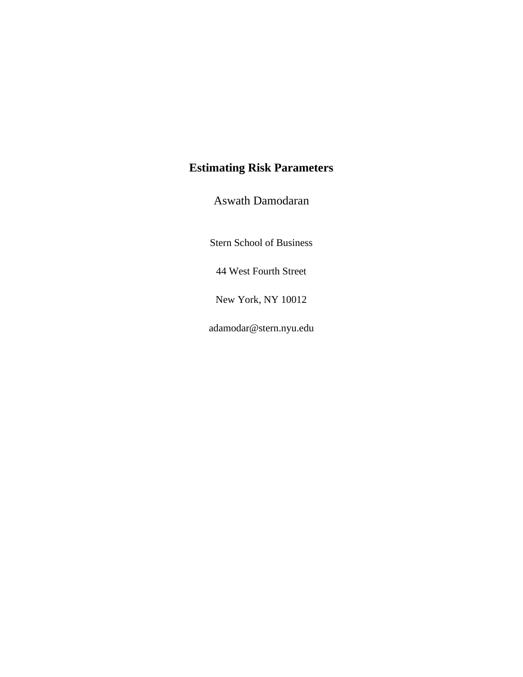# **Estimating Risk Parameters**

Aswath Damodaran

Stern School of Business

44 West Fourth Street

New York, NY 10012

adamodar@stern.nyu.edu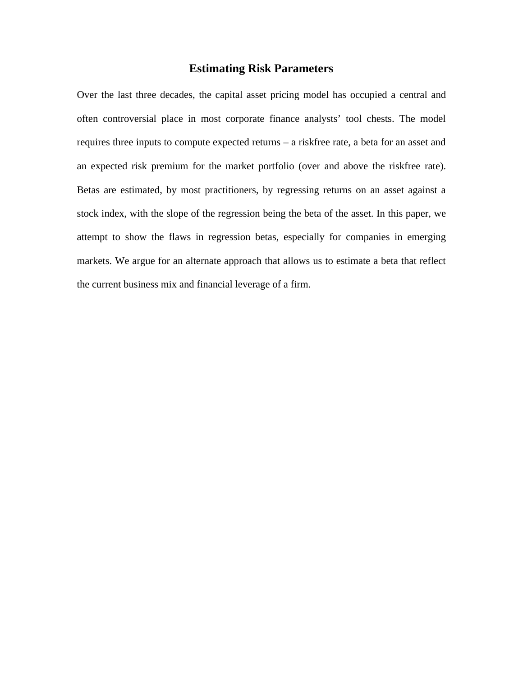# **Estimating Risk Parameters**

Over the last three decades, the capital asset pricing model has occupied a central and often controversial place in most corporate finance analysts' tool chests. The model requires three inputs to compute expected returns – a riskfree rate, a beta for an asset and an expected risk premium for the market portfolio (over and above the riskfree rate). Betas are estimated, by most practitioners, by regressing returns on an asset against a stock index, with the slope of the regression being the beta of the asset. In this paper, we attempt to show the flaws in regression betas, especially for companies in emerging markets. We argue for an alternate approach that allows us to estimate a beta that reflect the current business mix and financial leverage of a firm.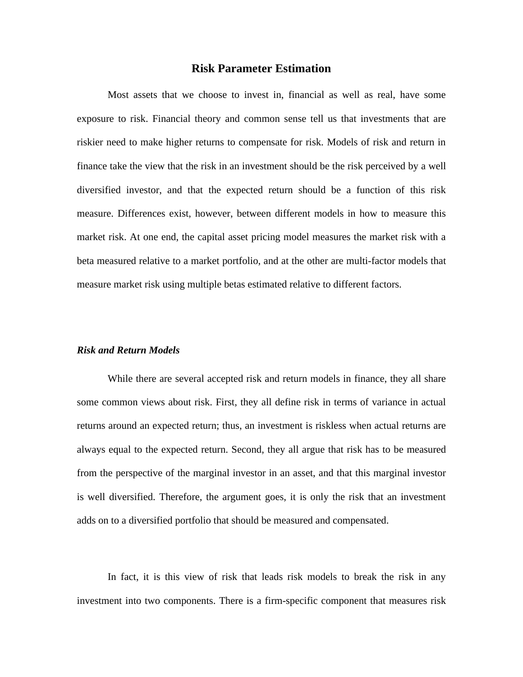## **Risk Parameter Estimation**

Most assets that we choose to invest in, financial as well as real, have some exposure to risk. Financial theory and common sense tell us that investments that are riskier need to make higher returns to compensate for risk. Models of risk and return in finance take the view that the risk in an investment should be the risk perceived by a well diversified investor, and that the expected return should be a function of this risk measure. Differences exist, however, between different models in how to measure this market risk. At one end, the capital asset pricing model measures the market risk with a beta measured relative to a market portfolio, and at the other are multi-factor models that measure market risk using multiple betas estimated relative to different factors.

# *Risk and Return Models*

While there are several accepted risk and return models in finance, they all share some common views about risk. First, they all define risk in terms of variance in actual returns around an expected return; thus, an investment is riskless when actual returns are always equal to the expected return. Second, they all argue that risk has to be measured from the perspective of the marginal investor in an asset, and that this marginal investor is well diversified. Therefore, the argument goes, it is only the risk that an investment adds on to a diversified portfolio that should be measured and compensated.

In fact, it is this view of risk that leads risk models to break the risk in any investment into two components. There is a firm-specific component that measures risk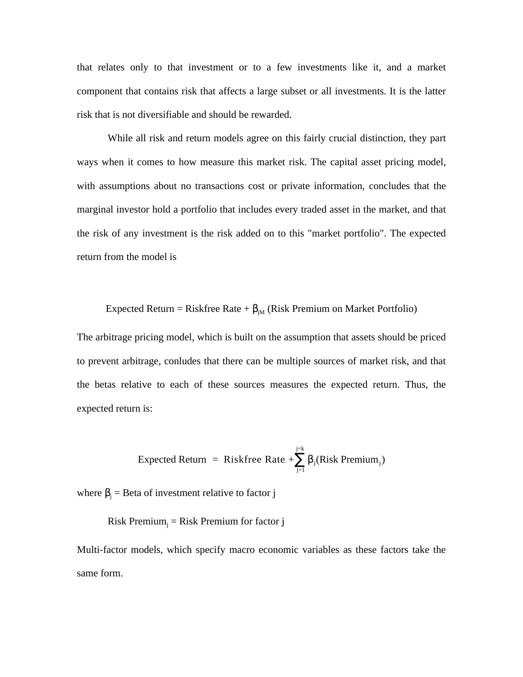that relates only to that investment or to a few investments like it, and a market component that contains risk that affects a large subset or all investments. It is the latter risk that is not diversifiable and should be rewarded.

While all risk and return models agree on this fairly crucial distinction, they part ways when it comes to how measure this market risk. The capital asset pricing model, with assumptions about no transactions cost or private information, concludes that the marginal investor hold a portfolio that includes every traded asset in the market, and that the risk of any investment is the risk added on to this "market portfolio". The expected return from the model is

Expected Return = Riskfree Rate +  $_{\text{IM}}$  (Risk Premium on Market Portfolio)

The arbitrage pricing model, which is built on the assumption that assets should be priced to prevent arbitrage, conludes that there can be multiple sources of market risk, and that the betas relative to each of these sources measures the expected return. Thus, the expected return is:

Expected Return = Riskfree Rate + 
$$
\int_{j=1}^{j=k} (Risk Premium_j)
$$

where  $j = Beta of investment relative to factor j$ 

 $Risk$  Premium $_{j}$  = Risk Premium for factor  $j$ 

Multi-factor models, which specify macro economic variables as these factors take the same form.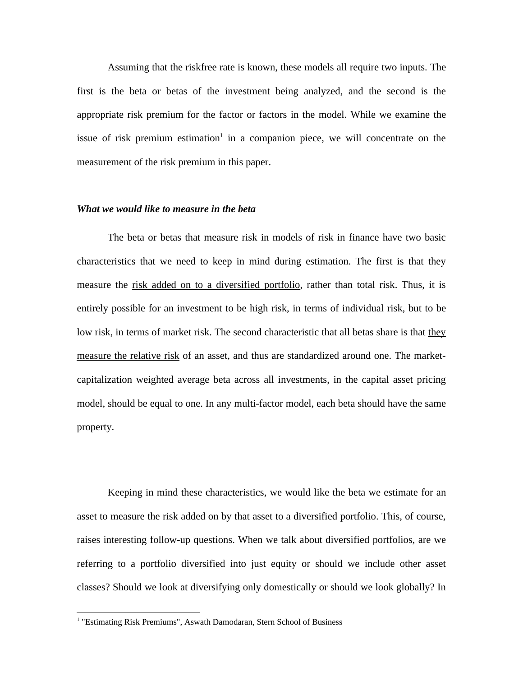Assuming that the riskfree rate is known, these models all require two inputs. The first is the beta or betas of the investment being analyzed, and the second is the appropriate risk premium for the factor or factors in the model. While we examine the issue of risk premium estimation<sup>1</sup> in a companion piece, we will concentrate on the measurement of the risk premium in this paper.

### *What we would like to measure in the beta*

The beta or betas that measure risk in models of risk in finance have two basic characteristics that we need to keep in mind during estimation. The first is that they measure the risk added on to a diversified portfolio, rather than total risk. Thus, it is entirely possible for an investment to be high risk, in terms of individual risk, but to be low risk, in terms of market risk. The second characteristic that all betas share is that they measure the relative risk of an asset, and thus are standardized around one. The marketcapitalization weighted average beta across all investments, in the capital asset pricing model, should be equal to one. In any multi-factor model, each beta should have the same property.

Keeping in mind these characteristics, we would like the beta we estimate for an asset to measure the risk added on by that asset to a diversified portfolio. This, of course, raises interesting follow-up questions. When we talk about diversified portfolios, are we referring to a portfolio diversified into just equity or should we include other asset classes? Should we look at diversifying only domestically or should we look globally? In

<sup>&</sup>lt;sup>1</sup> "Estimating Risk Premiums", Aswath Damodaran, Stern School of Business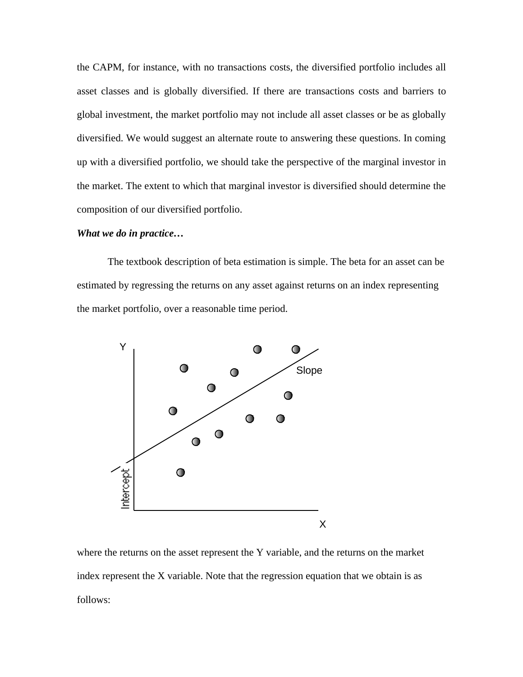the CAPM, for instance, with no transactions costs, the diversified portfolio includes all asset classes and is globally diversified. If there are transactions costs and barriers to global investment, the market portfolio may not include all asset classes or be as globally diversified. We would suggest an alternate route to answering these questions. In coming up with a diversified portfolio, we should take the perspective of the marginal investor in the market. The extent to which that marginal investor is diversified should determine the composition of our diversified portfolio.

#### *What we do in practice…*

The textbook description of beta estimation is simple. The beta for an asset can be estimated by regressing the returns on any asset against returns on an index representing the market portfolio, over a reasonable time period.



where the returns on the asset represent the Y variable, and the returns on the market index represent the X variable. Note that the regression equation that we obtain is as follows: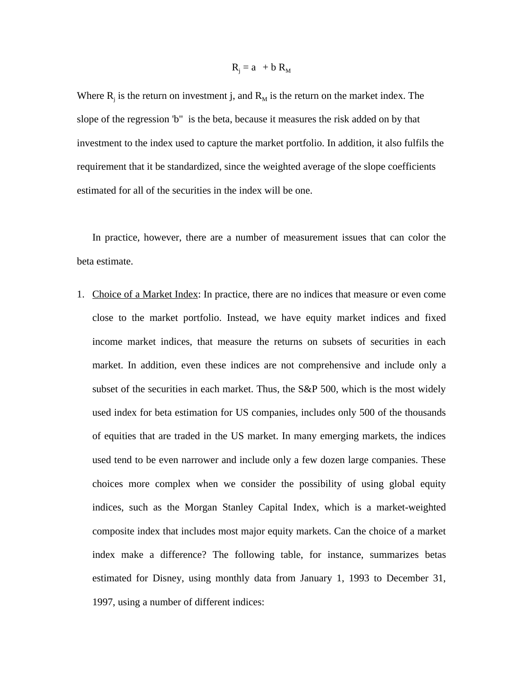$$
R_j = a + b R_M
$$

Where  $R_j$  is the return on investment j, and  $R_M$  is the return on the market index. The slope of the regression 'b" is the beta, because it measures the risk added on by that investment to the index used to capture the market portfolio. In addition, it also fulfils the requirement that it be standardized, since the weighted average of the slope coefficients estimated for all of the securities in the index will be one.

In practice, however, there are a number of measurement issues that can color the beta estimate.

1. Choice of a Market Index: In practice, there are no indices that measure or even come close to the market portfolio. Instead, we have equity market indices and fixed income market indices, that measure the returns on subsets of securities in each market. In addition, even these indices are not comprehensive and include only a subset of the securities in each market. Thus, the S&P 500, which is the most widely used index for beta estimation for US companies, includes only 500 of the thousands of equities that are traded in the US market. In many emerging markets, the indices used tend to be even narrower and include only a few dozen large companies. These choices more complex when we consider the possibility of using global equity indices, such as the Morgan Stanley Capital Index, which is a market-weighted composite index that includes most major equity markets. Can the choice of a market index make a difference? The following table, for instance, summarizes betas estimated for Disney, using monthly data from January 1, 1993 to December 31, 1997, using a number of different indices: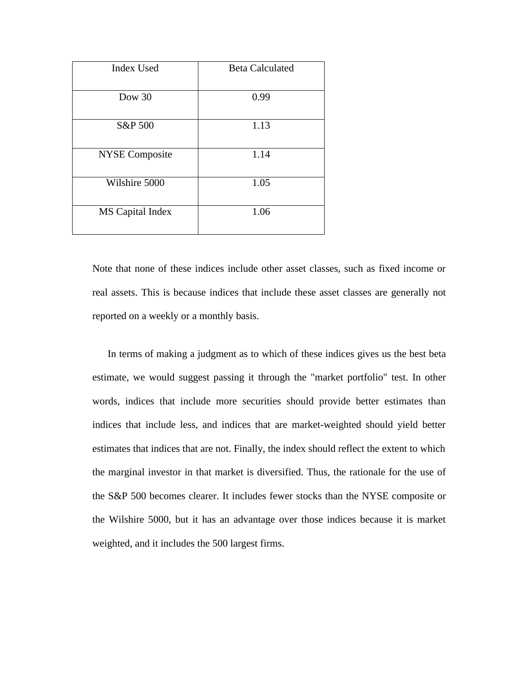| <b>Index Used</b>     | <b>Beta Calculated</b> |
|-----------------------|------------------------|
| Dow $30$              | 0.99                   |
| S&P 500               | 1.13                   |
| <b>NYSE</b> Composite | 1.14                   |
| Wilshire 5000         | 1.05                   |
| MS Capital Index      | 1.06                   |

Note that none of these indices include other asset classes, such as fixed income or real assets. This is because indices that include these asset classes are generally not reported on a weekly or a monthly basis.

In terms of making a judgment as to which of these indices gives us the best beta estimate, we would suggest passing it through the "market portfolio" test. In other words, indices that include more securities should provide better estimates than indices that include less, and indices that are market-weighted should yield better estimates that indices that are not. Finally, the index should reflect the extent to which the marginal investor in that market is diversified. Thus, the rationale for the use of the S&P 500 becomes clearer. It includes fewer stocks than the NYSE composite or the Wilshire 5000, but it has an advantage over those indices because it is market weighted, and it includes the 500 largest firms.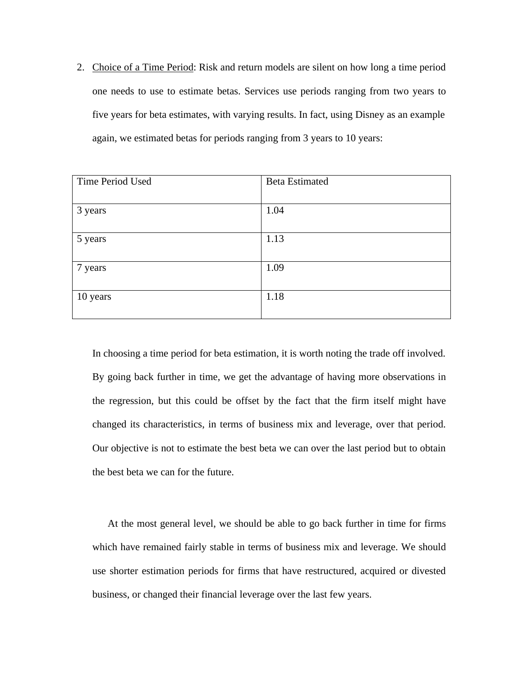2. Choice of a Time Period: Risk and return models are silent on how long a time period one needs to use to estimate betas. Services use periods ranging from two years to five years for beta estimates, with varying results. In fact, using Disney as an example again, we estimated betas for periods ranging from 3 years to 10 years:

| Time Period Used | <b>Beta Estimated</b> |
|------------------|-----------------------|
|                  |                       |
| 3 years          | 1.04                  |
| 5 years          | 1.13                  |
| 7 years          | 1.09                  |
| 10 years         | 1.18                  |

In choosing a time period for beta estimation, it is worth noting the trade off involved. By going back further in time, we get the advantage of having more observations in the regression, but this could be offset by the fact that the firm itself might have changed its characteristics, in terms of business mix and leverage, over that period. Our objective is not to estimate the best beta we can over the last period but to obtain the best beta we can for the future.

At the most general level, we should be able to go back further in time for firms which have remained fairly stable in terms of business mix and leverage. We should use shorter estimation periods for firms that have restructured, acquired or divested business, or changed their financial leverage over the last few years.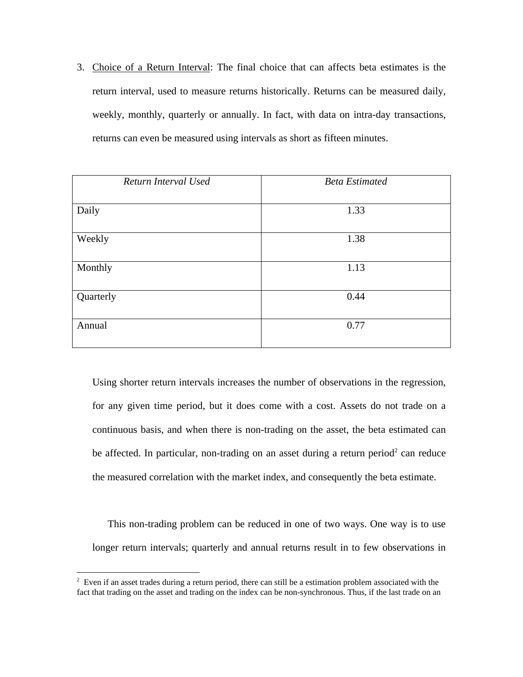3. Choice of a Return Interval: The final choice that can affects beta estimates is the return interval, used to measure returns historically. Returns can be measured daily, weekly, monthly, quarterly or annually. In fact, with data on intra-day transactions, returns can even be measured using intervals as short as fifteen minutes.

| Return Interval Used | <b>Beta Estimated</b> |
|----------------------|-----------------------|
|                      |                       |
| Daily                | 1.33                  |
|                      |                       |
| Weekly               | 1.38                  |
|                      |                       |
| Monthly              | 1.13                  |
|                      |                       |
| Quarterly            | 0.44                  |
|                      |                       |
| Annual               | 0.77                  |
|                      |                       |

Using shorter return intervals increases the number of observations in the regression, for any given time period, but it does come with a cost. Assets do not trade on a continuous basis, and when there is non-trading on the asset, the beta estimated can be affected. In particular, non-trading on an asset during a return period<sup>2</sup> can reduce the measured correlation with the market index, and consequently the beta estimate.

This non-trading problem can be reduced in one of two ways. One way is to use longer return intervals; quarterly and annual returns result in to few observations in

 $2$  Even if an asset trades during a return period, there can still be a estimation problem associated with the fact that trading on the asset and trading on the index can be non-synchronous. Thus, if the last trade on an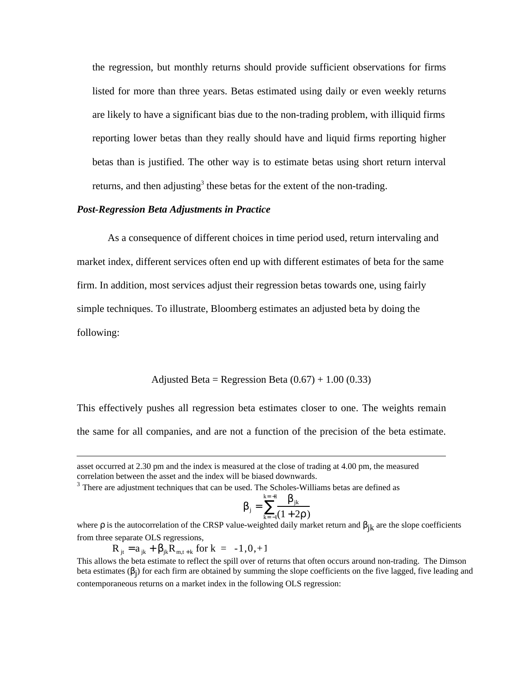the regression, but monthly returns should provide sufficient observations for firms listed for more than three years. Betas estimated using daily or even weekly returns are likely to have a significant bias due to the non-trading problem, with illiquid firms reporting lower betas than they really should have and liquid firms reporting higher betas than is justified. The other way is to estimate betas using short return interval returns, and then adjusting<sup>3</sup> these betas for the extent of the non-trading.

#### *Post-Regression Beta Adjustments in Practice*

As a consequence of different choices in time period used, return intervaling and market index, different services often end up with different estimates of beta for the same firm. In addition, most services adjust their regression betas towards one, using fairly simple techniques. To illustrate, Bloomberg estimates an adjusted beta by doing the following:

Adjusted Beta = Regression Beta  $(0.67) + 1.00 (0.33)$ 

This effectively pushes all regression beta estimates closer to one. The weights remain the same for all companies, and are not a function of the precision of the beta estimate.

$$
j = \frac{jk}{k-1(1+2)}
$$

 $k = +1$ 

 $R_{it} = a_{ik} + \frac{1}{ik}R_{m,t+k}$  for  $k = -1,0,+1$ 

asset occurred at 2.30 pm and the index is measured at the close of trading at 4.00 pm, the measured correlation between the asset and the index will be biased downwards.

 $3$  There are adjustment techniques that can be used. The Scholes-Williams betas are defined as

where is the autocorrelation of the CRSP value-weighted daily market return and  $i_k$  are the slope coefficients from three separate OLS regressions,

This allows the beta estimate to reflect the spill over of returns that often occurs around non-trading. The Dimson beta estimates ( $j$ ) for each firm are obtained by summing the slope coefficients on the five lagged, five leading and contemporaneous returns on a market index in the following OLS regression: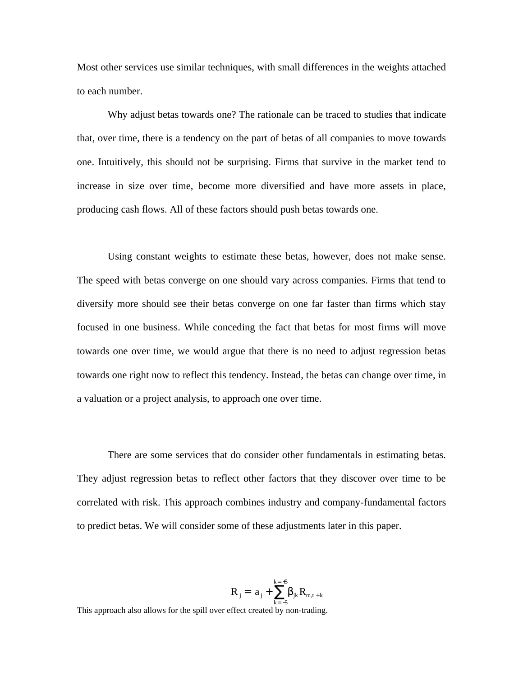Most other services use similar techniques, with small differences in the weights attached to each number.

Why adjust betas towards one? The rationale can be traced to studies that indicate that, over time, there is a tendency on the part of betas of all companies to move towards one. Intuitively, this should not be surprising. Firms that survive in the market tend to increase in size over time, become more diversified and have more assets in place, producing cash flows. All of these factors should push betas towards one.

Using constant weights to estimate these betas, however, does not make sense. The speed with betas converge on one should vary across companies. Firms that tend to diversify more should see their betas converge on one far faster than firms which stay focused in one business. While conceding the fact that betas for most firms will move towards one over time, we would argue that there is no need to adjust regression betas towards one right now to reflect this tendency. Instead, the betas can change over time, in a valuation or a project analysis, to approach one over time.

There are some services that do consider other fundamentals in estimating betas. They adjust regression betas to reflect other factors that they discover over time to be correlated with risk. This approach combines industry and company-fundamental factors to predict betas. We will consider some of these adjustments later in this paper.



This approach also allows for the spill over effect created by non-trading.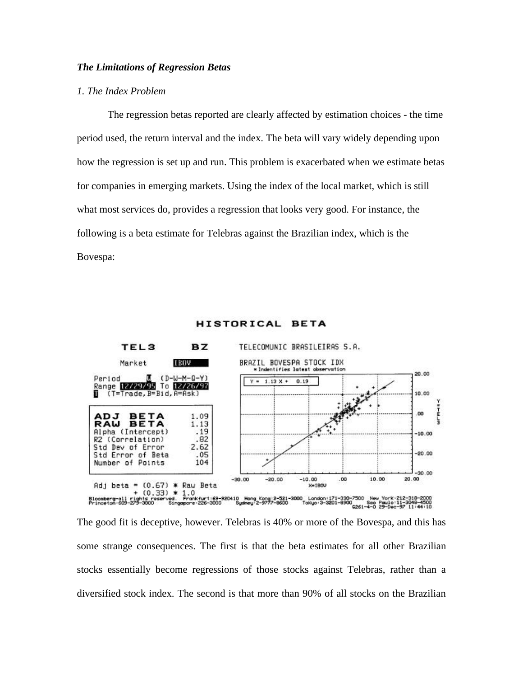## *The Limitations of Regression Betas*

## *1. The Index Problem*

The regression betas reported are clearly affected by estimation choices - the time period used, the return interval and the index. The beta will vary widely depending upon how the regression is set up and run. This problem is exacerbated when we estimate betas for companies in emerging markets. Using the index of the local market, which is still what most services do, provides a regression that looks very good. For instance, the following is a beta estimate for Telebras against the Brazilian index, which is the Bovespa:



#### HISTORICAL BETA

The good fit is deceptive, however. Telebras is 40% or more of the Bovespa, and this has some strange consequences. The first is that the beta estimates for all other Brazilian stocks essentially become regressions of those stocks against Telebras, rather than a diversified stock index. The second is that more than 90% of all stocks on the Brazilian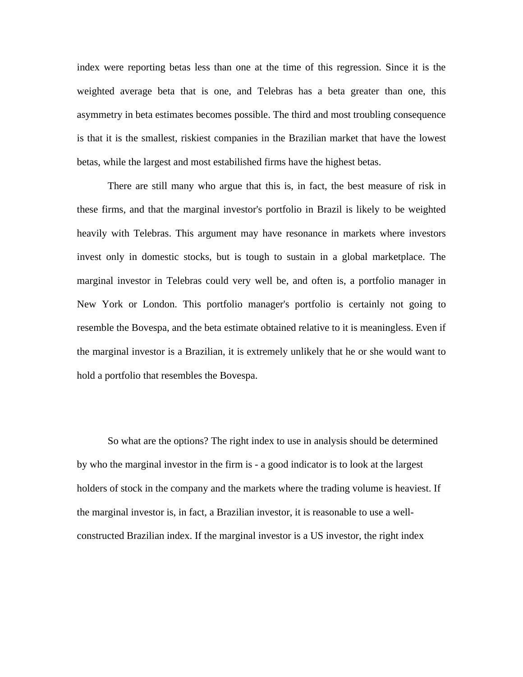index were reporting betas less than one at the time of this regression. Since it is the weighted average beta that is one, and Telebras has a beta greater than one, this asymmetry in beta estimates becomes possible. The third and most troubling consequence is that it is the smallest, riskiest companies in the Brazilian market that have the lowest betas, while the largest and most estabilished firms have the highest betas.

There are still many who argue that this is, in fact, the best measure of risk in these firms, and that the marginal investor's portfolio in Brazil is likely to be weighted heavily with Telebras. This argument may have resonance in markets where investors invest only in domestic stocks, but is tough to sustain in a global marketplace. The marginal investor in Telebras could very well be, and often is, a portfolio manager in New York or London. This portfolio manager's portfolio is certainly not going to resemble the Bovespa, and the beta estimate obtained relative to it is meaningless. Even if the marginal investor is a Brazilian, it is extremely unlikely that he or she would want to hold a portfolio that resembles the Bovespa.

So what are the options? The right index to use in analysis should be determined by who the marginal investor in the firm is - a good indicator is to look at the largest holders of stock in the company and the markets where the trading volume is heaviest. If the marginal investor is, in fact, a Brazilian investor, it is reasonable to use a wellconstructed Brazilian index. If the marginal investor is a US investor, the right index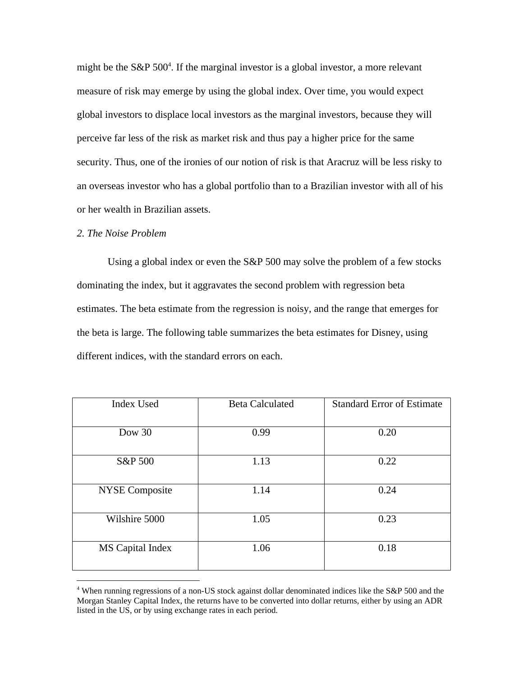might be the S&P 500<sup>4</sup>. If the marginal investor is a global investor, a more relevant measure of risk may emerge by using the global index. Over time, you would expect global investors to displace local investors as the marginal investors, because they will perceive far less of the risk as market risk and thus pay a higher price for the same security. Thus, one of the ironies of our notion of risk is that Aracruz will be less risky to an overseas investor who has a global portfolio than to a Brazilian investor with all of his or her wealth in Brazilian assets.

## *2. The Noise Problem*

 $\overline{a}$ 

Using a global index or even the S&P 500 may solve the problem of a few stocks dominating the index, but it aggravates the second problem with regression beta estimates. The beta estimate from the regression is noisy, and the range that emerges for the beta is large. The following table summarizes the beta estimates for Disney, using different indices, with the standard errors on each.

| <b>Index Used</b>     | <b>Beta Calculated</b> | <b>Standard Error of Estimate</b> |
|-----------------------|------------------------|-----------------------------------|
| Dow $30$              | 0.99                   | 0.20                              |
| S&P 500               | 1.13                   | 0.22                              |
| <b>NYSE Composite</b> | 1.14                   | 0.24                              |
| Wilshire 5000         | 1.05                   | 0.23                              |
| MS Capital Index      | 1.06                   | 0.18                              |

<sup>&</sup>lt;sup>4</sup> When running regressions of a non-US stock against dollar denominated indices like the S&P 500 and the Morgan Stanley Capital Index, the returns have to be converted into dollar returns, either by using an ADR listed in the US, or by using exchange rates in each period.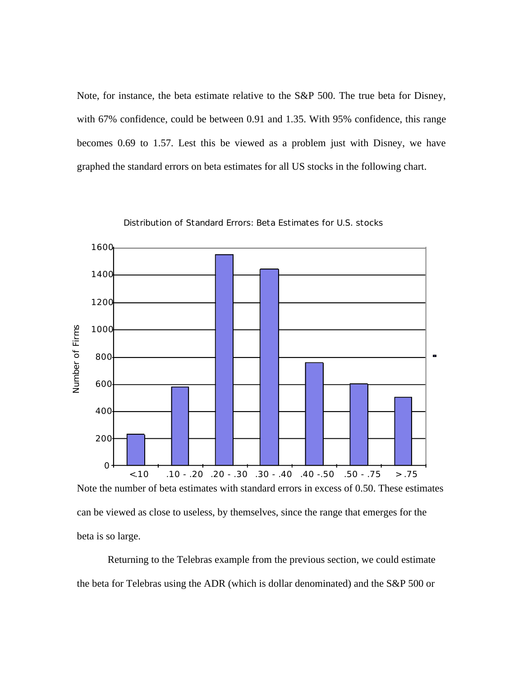Note, for instance, the beta estimate relative to the S&P 500. The true beta for Disney, with 67% confidence, could be between 0.91 and 1.35. With 95% confidence, this range becomes 0.69 to 1.57. Lest this be viewed as a problem just with Disney, we have graphed the standard errors on beta estimates for all US stocks in the following chart.



Distribution of Standard Errors: Beta Estimates for U.S. stocks

Note the number of beta estimates with standard errors in excess of 0.50. These estimates can be viewed as close to useless, by themselves, since the range that emerges for the beta is so large.

Returning to the Telebras example from the previous section, we could estimate the beta for Telebras using the ADR (which is dollar denominated) and the S&P 500 or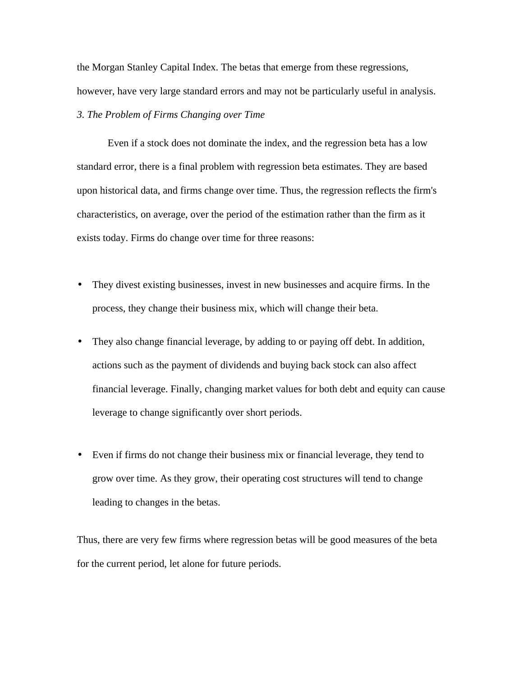the Morgan Stanley Capital Index. The betas that emerge from these regressions, however, have very large standard errors and may not be particularly useful in analysis. *3. The Problem of Firms Changing over Time*

Even if a stock does not dominate the index, and the regression beta has a low standard error, there is a final problem with regression beta estimates. They are based upon historical data, and firms change over time. Thus, the regression reflects the firm's characteristics, on average, over the period of the estimation rather than the firm as it exists today. Firms do change over time for three reasons:

- They divest existing businesses, invest in new businesses and acquire firms. In the process, they change their business mix, which will change their beta.
- They also change financial leverage, by adding to or paying off debt. In addition, actions such as the payment of dividends and buying back stock can also affect financial leverage. Finally, changing market values for both debt and equity can cause leverage to change significantly over short periods.
- Even if firms do not change their business mix or financial leverage, they tend to grow over time. As they grow, their operating cost structures will tend to change leading to changes in the betas.

Thus, there are very few firms where regression betas will be good measures of the beta for the current period, let alone for future periods.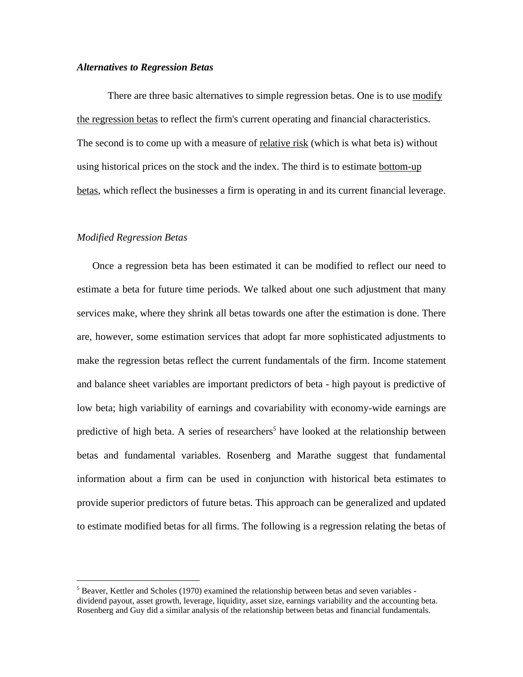#### *Alternatives to Regression Betas*

There are three basic alternatives to simple regression betas. One is to use modify the regression betas to reflect the firm's current operating and financial characteristics. The second is to come up with a measure of <u>relative risk</u> (which is what beta is) without using historical prices on the stock and the index. The third is to estimate bottom-up betas, which reflect the businesses a firm is operating in and its current financial leverage.

# *Modified Regression Betas*

 $\overline{a}$ 

Once a regression beta has been estimated it can be modified to reflect our need to estimate a beta for future time periods. We talked about one such adjustment that many services make, where they shrink all betas towards one after the estimation is done. There are, however, some estimation services that adopt far more sophisticated adjustments to make the regression betas reflect the current fundamentals of the firm. Income statement and balance sheet variables are important predictors of beta - high payout is predictive of low beta; high variability of earnings and covariability with economy-wide earnings are predictive of high beta. A series of researchers<sup>5</sup> have looked at the relationship between betas and fundamental variables. Rosenberg and Marathe suggest that fundamental information about a firm can be used in conjunction with historical beta estimates to provide superior predictors of future betas. This approach can be generalized and updated to estimate modified betas for all firms. The following is a regression relating the betas of

<sup>&</sup>lt;sup>5</sup> Beaver, Kettler and Scholes (1970) examined the relationship between betas and seven variables dividend payout, asset growth, leverage, liquidity, asset size, earnings variability and the accounting beta. Rosenberg and Guy did a similar analysis of the relationship between betas and financial fundamentals.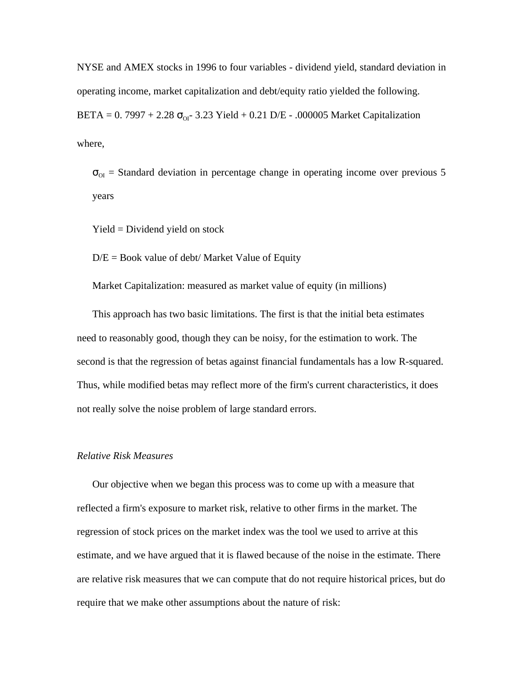NYSE and AMEX stocks in 1996 to four variables - dividend yield, standard deviation in operating income, market capitalization and debt/equity ratio yielded the following. BETA =  $0.7997 + 2.28$  <sub>OI</sub>- 3.23 Yield + 0.21 D/E - .000005 Market Capitalization where,

 $_{\text{OI}}$  = Standard deviation in percentage change in operating income over previous 5 years

Yield = Dividend yield on stock

 $D/E = Book$  value of debt/ Market Value of Equity

Market Capitalization: measured as market value of equity (in millions)

This approach has two basic limitations. The first is that the initial beta estimates need to reasonably good, though they can be noisy, for the estimation to work. The second is that the regression of betas against financial fundamentals has a low R-squared. Thus, while modified betas may reflect more of the firm's current characteristics, it does not really solve the noise problem of large standard errors.

## *Relative Risk Measures*

Our objective when we began this process was to come up with a measure that reflected a firm's exposure to market risk, relative to other firms in the market. The regression of stock prices on the market index was the tool we used to arrive at this estimate, and we have argued that it is flawed because of the noise in the estimate. There are relative risk measures that we can compute that do not require historical prices, but do require that we make other assumptions about the nature of risk: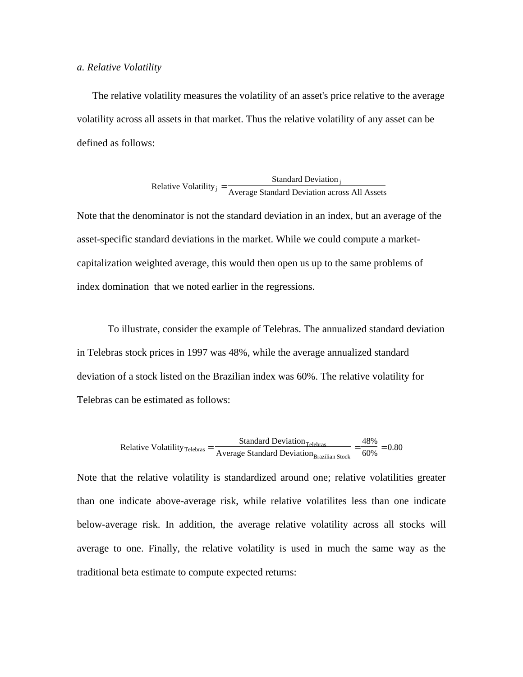#### *a. Relative Volatility*

The relative volatility measures the volatility of an asset's price relative to the average volatility across all assets in that market. Thus the relative volatility of any asset can be defined as follows:

Relative Volatility<sub>j</sub> = 
$$
\frac{\text{Standard Deviation}_j}{\text{Average Standard Deviation across All Assets}}
$$

Note that the denominator is not the standard deviation in an index, but an average of the asset-specific standard deviations in the market. While we could compute a marketcapitalization weighted average, this would then open us up to the same problems of index domination that we noted earlier in the regressions.

To illustrate, consider the example of Telebras. The annualized standard deviation in Telebras stock prices in 1997 was 48%, while the average annualized standard deviation of a stock listed on the Brazilian index was 60%. The relative volatility for Telebras can be estimated as follows:

Relative Volatility <sub>Telebras</sub> = 
$$
\frac{\text{Standard Deviation}_{\text{Telebras}}}{\text{Average Standard Deviation}_{\text{Brazilian Stock}}} = \frac{48\%}{60\%} = 0.80
$$

Note that the relative volatility is standardized around one; relative volatilities greater than one indicate above-average risk, while relative volatilites less than one indicate below-average risk. In addition, the average relative volatility across all stocks will average to one. Finally, the relative volatility is used in much the same way as the traditional beta estimate to compute expected returns: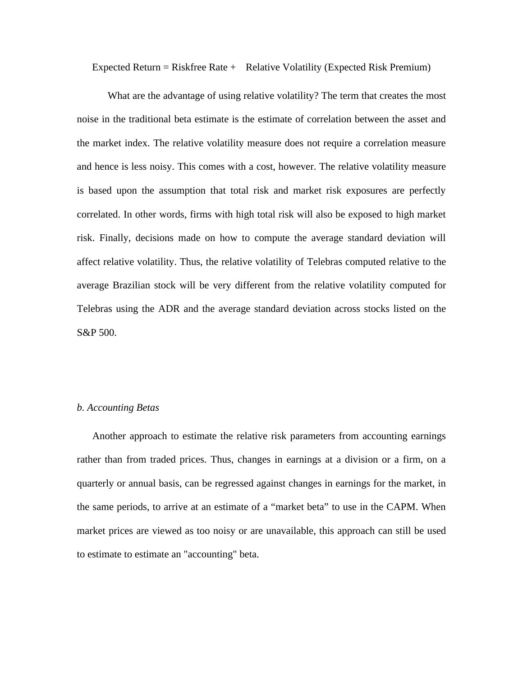Expected Return = Riskfree Rate + Relative Volatility (Expected Risk Premium)

What are the advantage of using relative volatility? The term that creates the most noise in the traditional beta estimate is the estimate of correlation between the asset and the market index. The relative volatility measure does not require a correlation measure and hence is less noisy. This comes with a cost, however. The relative volatility measure is based upon the assumption that total risk and market risk exposures are perfectly correlated. In other words, firms with high total risk will also be exposed to high market risk. Finally, decisions made on how to compute the average standard deviation will affect relative volatility. Thus, the relative volatility of Telebras computed relative to the average Brazilian stock will be very different from the relative volatility computed for Telebras using the ADR and the average standard deviation across stocks listed on the S&P 500.

#### *b. Accounting Betas*

Another approach to estimate the relative risk parameters from accounting earnings rather than from traded prices. Thus, changes in earnings at a division or a firm, on a quarterly or annual basis, can be regressed against changes in earnings for the market, in the same periods, to arrive at an estimate of a "market beta" to use in the CAPM. When market prices are viewed as too noisy or are unavailable, this approach can still be used to estimate to estimate an "accounting" beta.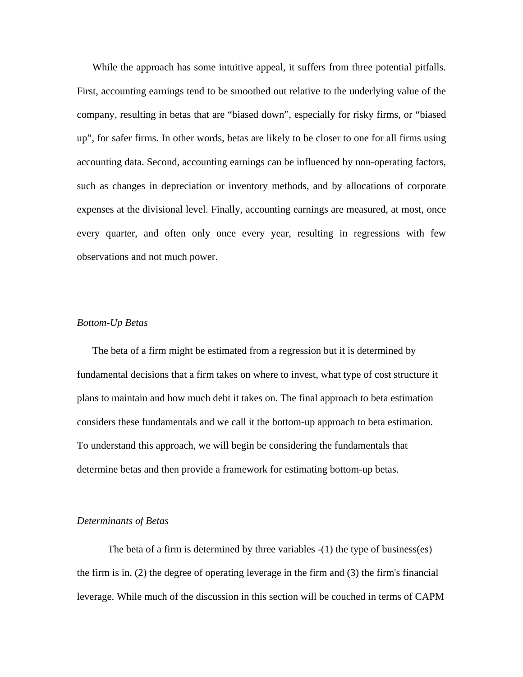While the approach has some intuitive appeal, it suffers from three potential pitfalls. First, accounting earnings tend to be smoothed out relative to the underlying value of the company, resulting in betas that are "biased down", especially for risky firms, or "biased up", for safer firms. In other words, betas are likely to be closer to one for all firms using accounting data. Second, accounting earnings can be influenced by non-operating factors, such as changes in depreciation or inventory methods, and by allocations of corporate expenses at the divisional level. Finally, accounting earnings are measured, at most, once every quarter, and often only once every year, resulting in regressions with few observations and not much power.

#### *Bottom-Up Betas*

The beta of a firm might be estimated from a regression but it is determined by fundamental decisions that a firm takes on where to invest, what type of cost structure it plans to maintain and how much debt it takes on. The final approach to beta estimation considers these fundamentals and we call it the bottom-up approach to beta estimation. To understand this approach, we will begin be considering the fundamentals that determine betas and then provide a framework for estimating bottom-up betas.

## *Determinants of Betas*

The beta of a firm is determined by three variables -(1) the type of business(es) the firm is in, (2) the degree of operating leverage in the firm and (3) the firm's financial leverage. While much of the discussion in this section will be couched in terms of CAPM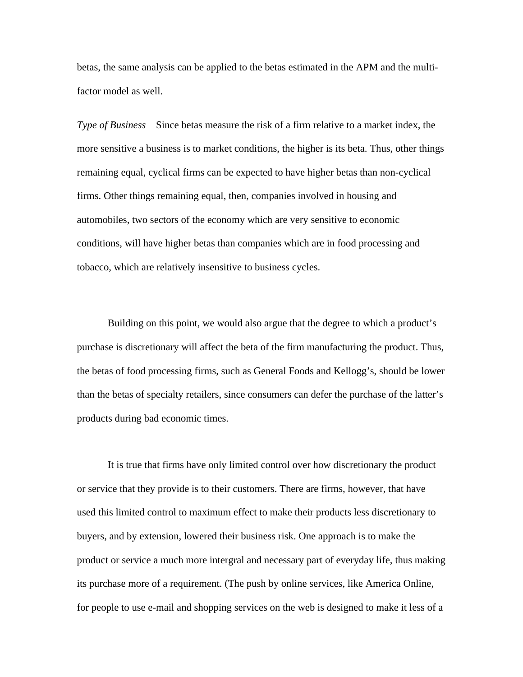betas, the same analysis can be applied to the betas estimated in the APM and the multifactor model as well.

*Type of Business* Since betas measure the risk of a firm relative to a market index, the more sensitive a business is to market conditions, the higher is its beta. Thus, other things remaining equal, cyclical firms can be expected to have higher betas than non-cyclical firms. Other things remaining equal, then, companies involved in housing and automobiles, two sectors of the economy which are very sensitive to economic conditions, will have higher betas than companies which are in food processing and tobacco, which are relatively insensitive to business cycles.

Building on this point, we would also argue that the degree to which a product's purchase is discretionary will affect the beta of the firm manufacturing the product. Thus, the betas of food processing firms, such as General Foods and Kellogg's, should be lower than the betas of specialty retailers, since consumers can defer the purchase of the latter's products during bad economic times.

It is true that firms have only limited control over how discretionary the product or service that they provide is to their customers. There are firms, however, that have used this limited control to maximum effect to make their products less discretionary to buyers, and by extension, lowered their business risk. One approach is to make the product or service a much more intergral and necessary part of everyday life, thus making its purchase more of a requirement. (The push by online services, like America Online, for people to use e-mail and shopping services on the web is designed to make it less of a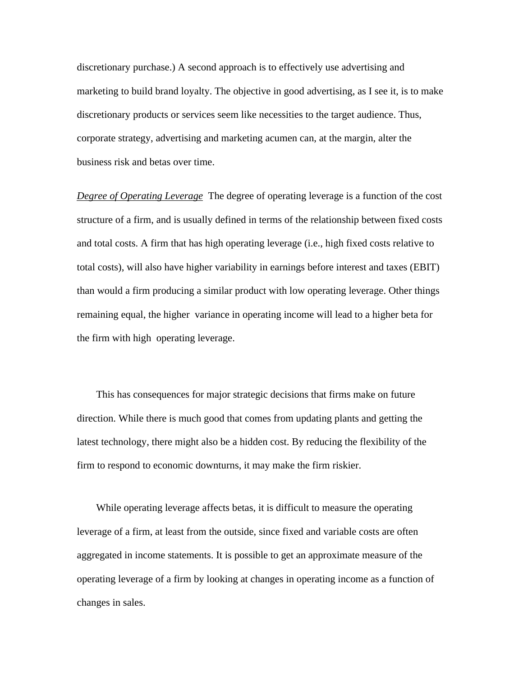discretionary purchase.) A second approach is to effectively use advertising and marketing to build brand loyalty. The objective in good advertising, as I see it, is to make discretionary products or services seem like necessities to the target audience. Thus, corporate strategy, advertising and marketing acumen can, at the margin, alter the business risk and betas over time.

*Degree of Operating Leverage* The degree of operating leverage is a function of the cost structure of a firm, and is usually defined in terms of the relationship between fixed costs and total costs. A firm that has high operating leverage (i.e., high fixed costs relative to total costs), will also have higher variability in earnings before interest and taxes (EBIT) than would a firm producing a similar product with low operating leverage. Other things remaining equal, the higher variance in operating income will lead to a higher beta for the firm with high operating leverage.

This has consequences for major strategic decisions that firms make on future direction. While there is much good that comes from updating plants and getting the latest technology, there might also be a hidden cost. By reducing the flexibility of the firm to respond to economic downturns, it may make the firm riskier.

While operating leverage affects betas, it is difficult to measure the operating leverage of a firm, at least from the outside, since fixed and variable costs are often aggregated in income statements. It is possible to get an approximate measure of the operating leverage of a firm by looking at changes in operating income as a function of changes in sales.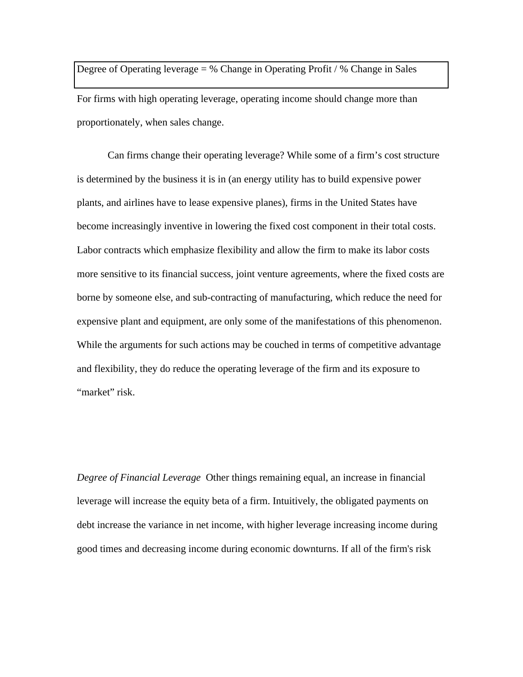Degree of Operating leverage  $=$  % Change in Operating Profit / % Change in Sales

For firms with high operating leverage, operating income should change more than proportionately, when sales change.

Can firms change their operating leverage? While some of a firm's cost structure is determined by the business it is in (an energy utility has to build expensive power plants, and airlines have to lease expensive planes), firms in the United States have become increasingly inventive in lowering the fixed cost component in their total costs. Labor contracts which emphasize flexibility and allow the firm to make its labor costs more sensitive to its financial success, joint venture agreements, where the fixed costs are borne by someone else, and sub-contracting of manufacturing, which reduce the need for expensive plant and equipment, are only some of the manifestations of this phenomenon. While the arguments for such actions may be couched in terms of competitive advantage and flexibility, they do reduce the operating leverage of the firm and its exposure to "market" risk.

*Degree of Financial Leverage* Other things remaining equal, an increase in financial leverage will increase the equity beta of a firm. Intuitively, the obligated payments on debt increase the variance in net income, with higher leverage increasing income during good times and decreasing income during economic downturns. If all of the firm's risk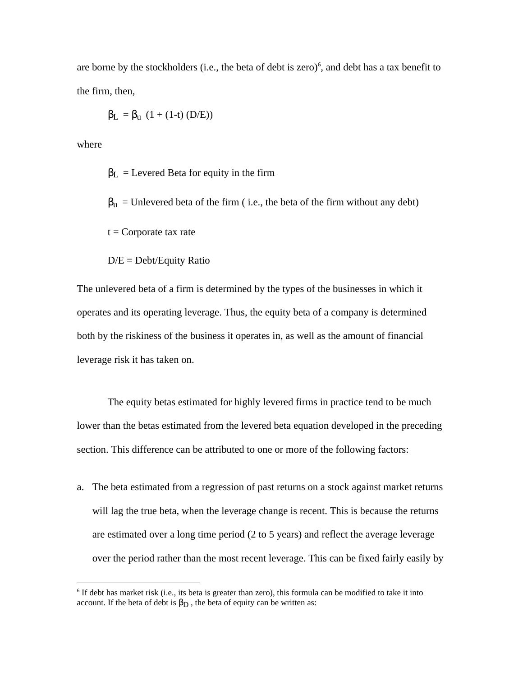are borne by the stockholders (i.e., the beta of debt is zero)<sup>6</sup>, and debt has a tax benefit to the firm, then,

$$
L = u (1 + (1-t) (D/E))
$$

where

 $\overline{a}$ 

 $L =$  Levered Beta for equity in the firm

 $u =$  Unlevered beta of the firm ( i.e., the beta of the firm without any debt)

 $t =$ Corporate tax rate

 $D/E = Debt/Equity Ratio$ 

The unlevered beta of a firm is determined by the types of the businesses in which it operates and its operating leverage. Thus, the equity beta of a company is determined both by the riskiness of the business it operates in, as well as the amount of financial leverage risk it has taken on.

The equity betas estimated for highly levered firms in practice tend to be much lower than the betas estimated from the levered beta equation developed in the preceding section. This difference can be attributed to one or more of the following factors:

a. The beta estimated from a regression of past returns on a stock against market returns will lag the true beta, when the leverage change is recent. This is because the returns are estimated over a long time period (2 to 5 years) and reflect the average leverage over the period rather than the most recent leverage. This can be fixed fairly easily by

<sup>&</sup>lt;sup>6</sup> If debt has market risk (i.e., its beta is greater than zero), this formula can be modified to take it into account. If the beta of debt is  $\mathbb{D}$ , the beta of equity can be written as: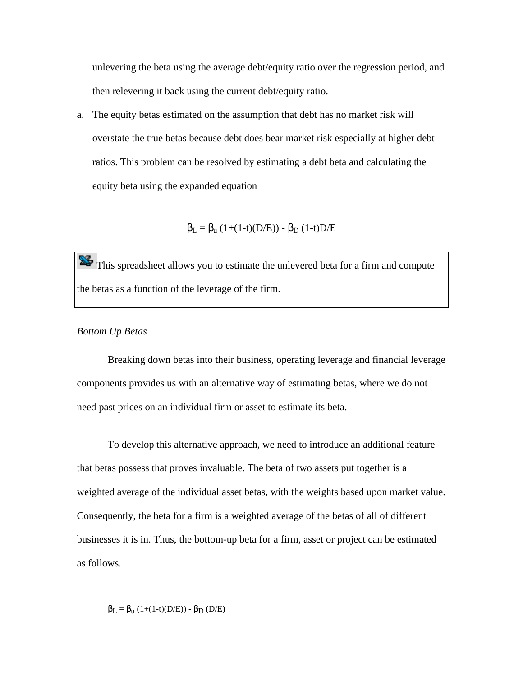unlevering the beta using the average debt/equity ratio over the regression period, and then relevering it back using the current debt/equity ratio.

a. The equity betas estimated on the assumption that debt has no market risk will overstate the true betas because debt does bear market risk especially at higher debt ratios. This problem can be resolved by estimating a debt beta and calculating the equity beta using the expanded equation

 $L = u (1+(1-t)(D/E)) - D (1-t)D/E$ 

This spreadsheet allows you to estimate the unlevered beta for a firm and compute the betas as a function of the leverage of the firm.

# *Bottom Up Betas*

 $\overline{a}$ 

Breaking down betas into their business, operating leverage and financial leverage components provides us with an alternative way of estimating betas, where we do not need past prices on an individual firm or asset to estimate its beta.

To develop this alternative approach, we need to introduce an additional feature that betas possess that proves invaluable. The beta of two assets put together is a weighted average of the individual asset betas, with the weights based upon market value. Consequently, the beta for a firm is a weighted average of the betas of all of different businesses it is in. Thus, the bottom-up beta for a firm, asset or project can be estimated as follows.

 $L = u (1+(1-t)(D/E)) - D (D/E)$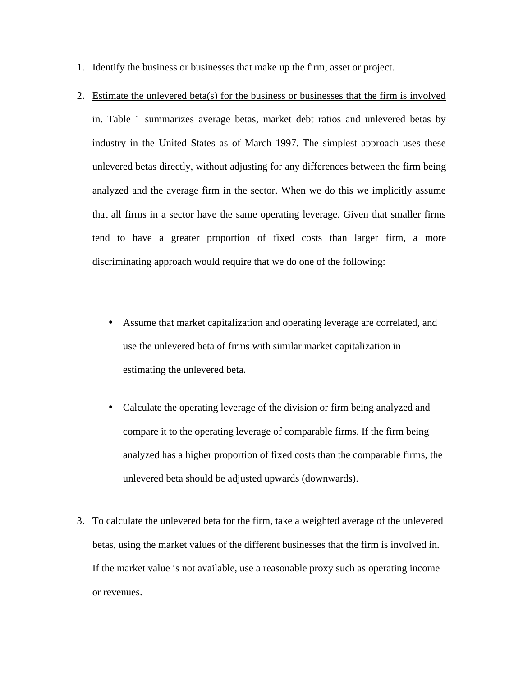- 1. Identify the business or businesses that make up the firm, asset or project.
- 2. Estimate the unlevered beta(s) for the business or businesses that the firm is involved in. Table 1 summarizes average betas, market debt ratios and unlevered betas by industry in the United States as of March 1997. The simplest approach uses these unlevered betas directly, without adjusting for any differences between the firm being analyzed and the average firm in the sector. When we do this we implicitly assume that all firms in a sector have the same operating leverage. Given that smaller firms tend to have a greater proportion of fixed costs than larger firm, a more discriminating approach would require that we do one of the following:
	- Assume that market capitalization and operating leverage are correlated, and use the unlevered beta of firms with similar market capitalization in estimating the unlevered beta.
	- Calculate the operating leverage of the division or firm being analyzed and compare it to the operating leverage of comparable firms. If the firm being analyzed has a higher proportion of fixed costs than the comparable firms, the unlevered beta should be adjusted upwards (downwards).
- 3. To calculate the unlevered beta for the firm, take a weighted average of the unlevered betas, using the market values of the different businesses that the firm is involved in. If the market value is not available, use a reasonable proxy such as operating income or revenues.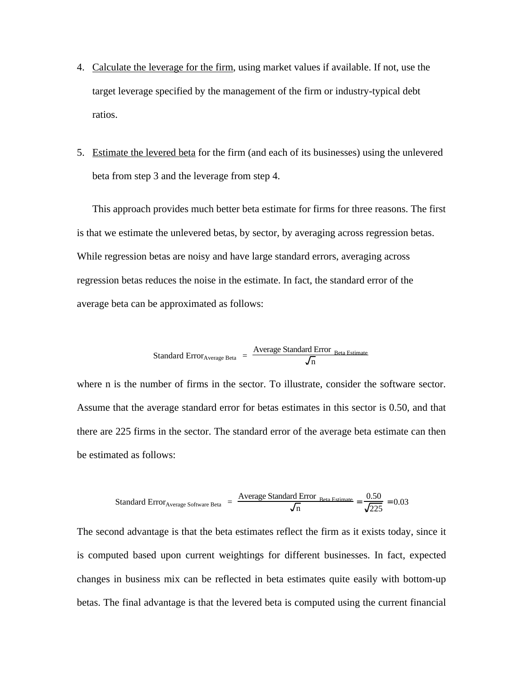- 4. Calculate the leverage for the firm, using market values if available. If not, use the target leverage specified by the management of the firm or industry-typical debt ratios.
- 5. Estimate the levered beta for the firm (and each of its businesses) using the unlevered beta from step 3 and the leverage from step 4.

This approach provides much better beta estimate for firms for three reasons. The first is that we estimate the unlevered betas, by sector, by averaging across regression betas. While regression betas are noisy and have large standard errors, averaging across regression betas reduces the noise in the estimate. In fact, the standard error of the average beta can be approximated as follows:

Standard Error<sub>Average Beta</sub> = 
$$
\frac{\text{Average Standard Error}_{\text{Beta Estimate}}}{\sqrt{n}}
$$

where n is the number of firms in the sector. To illustrate, consider the software sector. Assume that the average standard error for betas estimates in this sector is 0.50, and that there are 225 firms in the sector. The standard error of the average beta estimate can then be estimated as follows:

Standard Error<sub>Average Software Beta</sub> = 
$$
\frac{\text{Average Standard Error}_{\text{Beta Estimate}}}{\sqrt{n}} = \frac{0.50}{\sqrt{225}} = 0.03
$$

The second advantage is that the beta estimates reflect the firm as it exists today, since it is computed based upon current weightings for different businesses. In fact, expected changes in business mix can be reflected in beta estimates quite easily with bottom-up betas. The final advantage is that the levered beta is computed using the current financial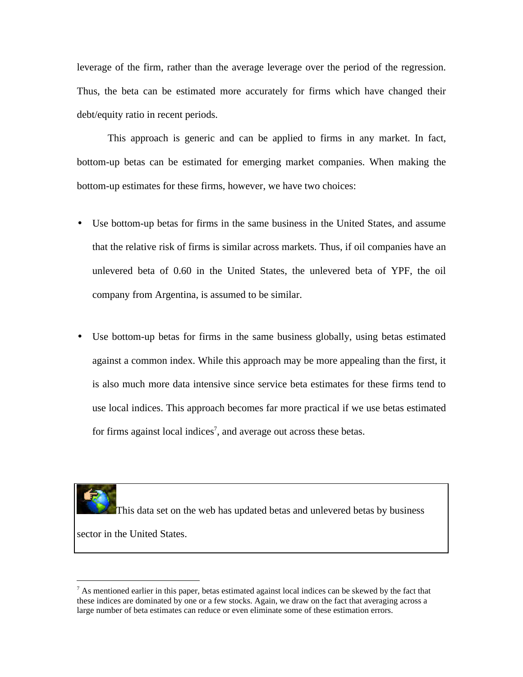leverage of the firm, rather than the average leverage over the period of the regression. Thus, the beta can be estimated more accurately for firms which have changed their debt/equity ratio in recent periods.

This approach is generic and can be applied to firms in any market. In fact, bottom-up betas can be estimated for emerging market companies. When making the bottom-up estimates for these firms, however, we have two choices:

- Use bottom-up betas for firms in the same business in the United States, and assume that the relative risk of firms is similar across markets. Thus, if oil companies have an unlevered beta of 0.60 in the United States, the unlevered beta of YPF, the oil company from Argentina, is assumed to be similar.
- Use bottom-up betas for firms in the same business globally, using betas estimated against a common index. While this approach may be more appealing than the first, it is also much more data intensive since service beta estimates for these firms tend to use local indices. This approach becomes far more practical if we use betas estimated for firms against local indices<sup>7</sup>, and average out across these betas.

This data set on the web has updated betas and unlevered betas by business sector in the United States.

 $<sup>7</sup>$  As mentioned earlier in this paper, betas estimated against local indices can be skewed by the fact that</sup> these indices are dominated by one or a few stocks. Again, we draw on the fact that averaging across a large number of beta estimates can reduce or even eliminate some of these estimation errors.